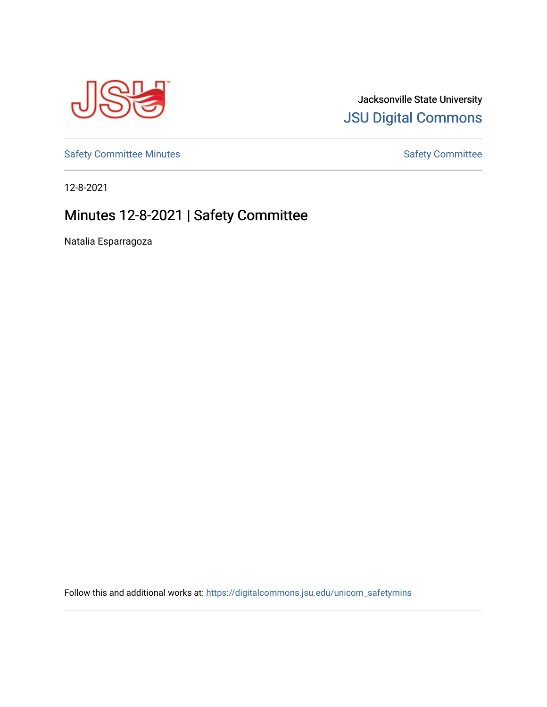

### Jacksonville State University [JSU Digital Commons](https://digitalcommons.jsu.edu/)

[Safety Committee Minutes](https://digitalcommons.jsu.edu/unicom_safetymins) **[Safety Committee](https://digitalcommons.jsu.edu/unicom_safety) Minutes** Safety Committee

12-8-2021

## Minutes 12-8-2021 | Safety Committee

Natalia Esparragoza

Follow this and additional works at: [https://digitalcommons.jsu.edu/unicom\\_safetymins](https://digitalcommons.jsu.edu/unicom_safetymins?utm_source=digitalcommons.jsu.edu%2Funicom_safetymins%2F2&utm_medium=PDF&utm_campaign=PDFCoverPages)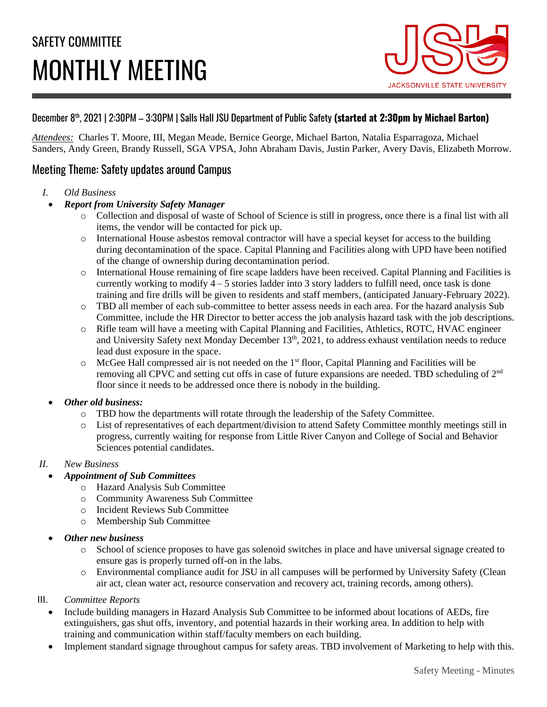# SAFETY COMMITTEE MONTHLY MEETING



#### December 8th , 2021 | 2:30PM – 3:30PM | Salls Hall JSU Department of Public Safety **(started at 2:30pm by Michael Barton)**

*Attendees:* Charles T. Moore, III, Megan Meade, Bernice George, Michael Barton, Natalia Esparragoza, Michael Sanders, Andy Green, Brandy Russell, SGA VPSA, John Abraham Davis, Justin Parker, Avery Davis, Elizabeth Morrow.

#### Meeting Theme: Safety updates around Campus

- *I. Old Business*
	- *Report from University Safety Manager* 
		- o Collection and disposal of waste of School of Science is still in progress, once there is a final list with all items, the vendor will be contacted for pick up.
		- o International House asbestos removal contractor will have a special keyset for access to the building during decontamination of the space. Capital Planning and Facilities along with UPD have been notified of the change of ownership during decontamination period.
		- o International House remaining of fire scape ladders have been received. Capital Planning and Facilities is currently working to modify  $4 - 5$  stories ladder into 3 story ladders to fulfill need, once task is done training and fire drills will be given to residents and staff members, (anticipated January-February 2022).
		- o TBD all member of each sub-committee to better assess needs in each area. For the hazard analysis Sub Committee, include the HR Director to better access the job analysis hazard task with the job descriptions.
		- o Rifle team will have a meeting with Capital Planning and Facilities, Athletics, ROTC, HVAC engineer and University Safety next Monday December 13<sup>th</sup>, 2021, to address exhaust ventilation needs to reduce lead dust exposure in the space.
		- o McGee Hall compressed air is not needed on the 1 st floor, Capital Planning and Facilities will be removing all CPVC and setting cut offs in case of future expansions are needed. TBD scheduling of  $2<sup>nd</sup>$ floor since it needs to be addressed once there is nobody in the building.

#### • *Other old business:*

- o TBD how the departments will rotate through the leadership of the Safety Committee.
- o List of representatives of each department/division to attend Safety Committee monthly meetings still in progress, currently waiting for response from Little River Canyon and College of Social and Behavior Sciences potential candidates.

#### *II. New Business*

- *Appointment of Sub Committees*
	- o Hazard Analysis Sub Committee
	- o Community Awareness Sub Committee
	- o Incident Reviews Sub Committee
	- o Membership Sub Committee
- *Other new business*
	- o School of science proposes to have gas solenoid switches in place and have universal signage created to ensure gas is properly turned off-on in the labs.
	- Environmental compliance audit for JSU in all campuses will be performed by University Safety (Clean air act, clean water act, resource conservation and recovery act, training records, among others).

#### III. *Committee Reports*

- Include building managers in Hazard Analysis Sub Committee to be informed about locations of AEDs, fire extinguishers, gas shut offs, inventory, and potential hazards in their working area. In addition to help with training and communication within staff/faculty members on each building.
- Implement standard signage throughout campus for safety areas. TBD involvement of Marketing to help with this.